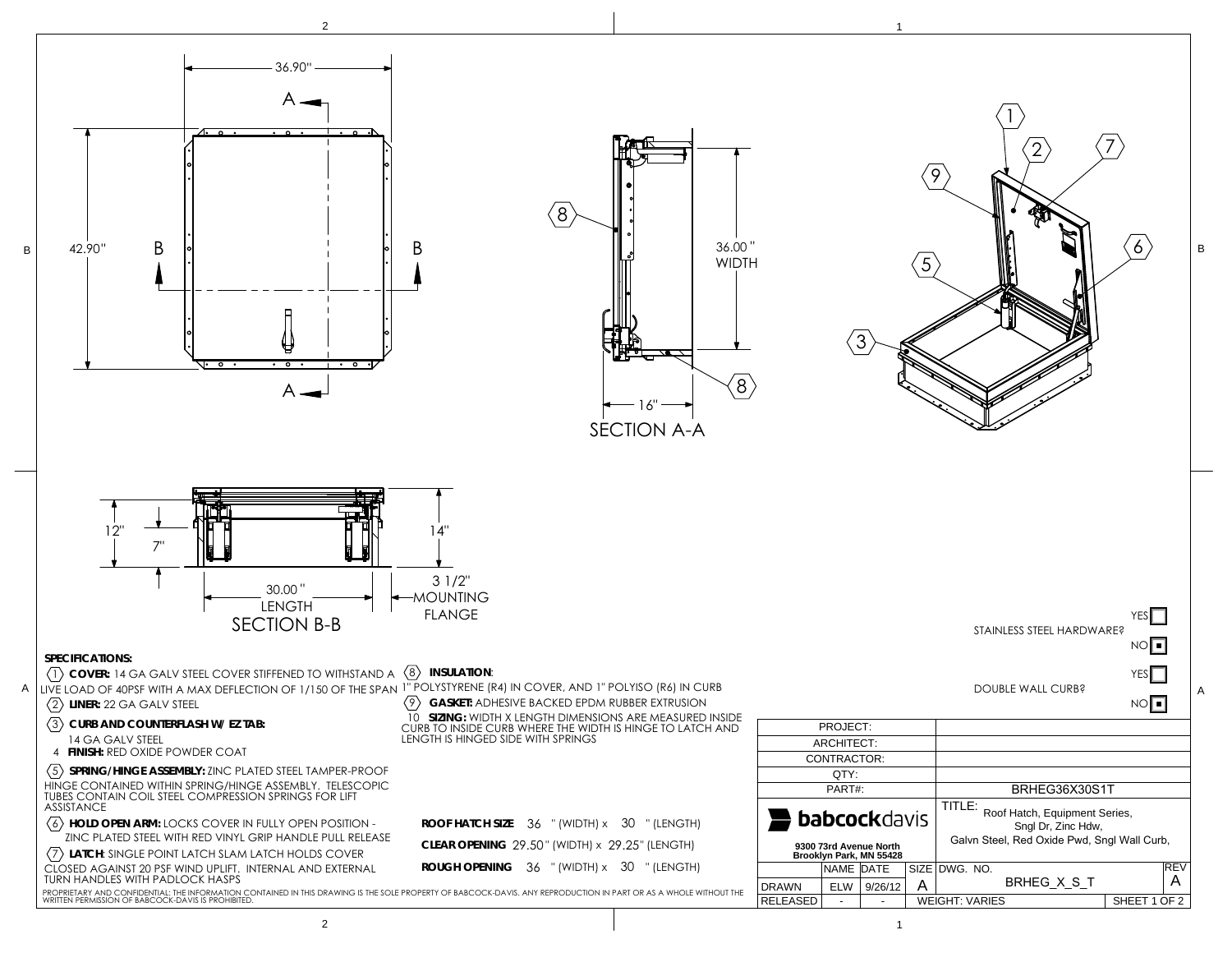

2е произведение производство на применение с производственность и производственность и производства и применени<br>Применение производство применение производственность применения и производственность и производства и примене